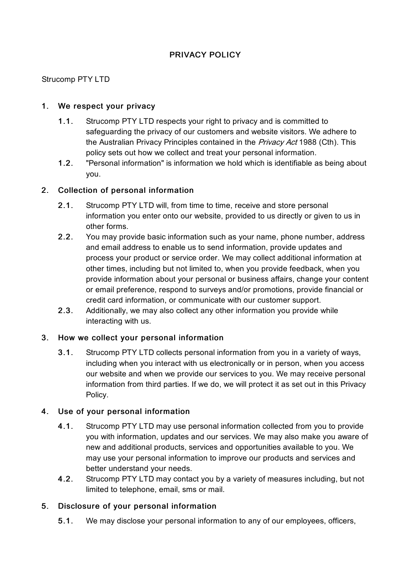# PRIVACY POLICY

### Strucomp PTY LTD

### 1. We respect your privacy

- 1.1. Strucomp PTY LTD respects your right to privacy and is committed to safeguarding the privacy of our customers and website visitors. We adhere to the Australian Privacy Principles contained in the *Privacy Act* 1988 (Cth). This policy sets out how we collect and treat your personal information.
- 1.2. "Personal information" is information we hold which is identifiable as being about you.

### 2. Collection of personal information

- 2.1. Strucomp PTY LTD will, from time to time, receive and store personal information you enter onto our website, provided to us directly or given to us in other forms.
- 2.2. You may provide basic information such as your name, phone number, address and email address to enable us to send information, provide updates and process your product or service order. We may collect additional information at other times, including but not limited to, when you provide feedback, when you provide information about your personal or business affairs, change your content or email preference, respond to surveys and/or promotions, provide financial or credit card information, or communicate with our customer support.
- 2.3. Additionally, we may also collect any other information you provide while interacting with us.

### 3. How we collect your personal information

3.1. Strucomp PTY LTD collects personal information from you in a variety of ways, including when you interact with us electronically or in person, when you access our website and when we provide our services to you. We may receive personal information from third parties. If we do, we will protect it as set out in this Privacy Policy.

### 4. Use of your personal information

- 4.1. Strucomp PTY LTD may use personal information collected from you to provide you with information, updates and our services. We may also make you aware of new and additional products, services and opportunities available to you. We may use your personal information to improve our products and services and better understand your needs.
- 4.2. Strucomp PTY LTD may contact you by a variety of measures including, but not limited to telephone, email, sms or mail.

## 5. Disclosure of your personal information

5.1. We may disclose your personal information to any of our employees, officers,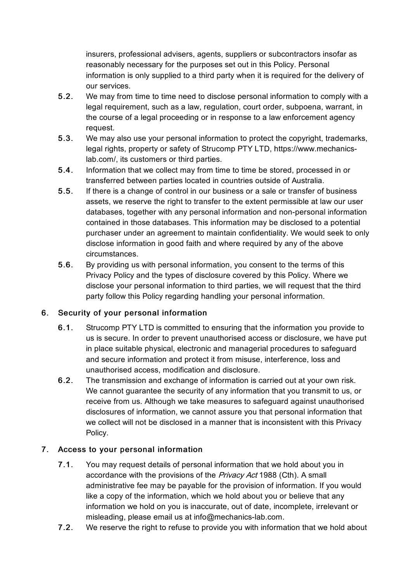insurers, professional advisers, agents, suppliers or subcontractors insofar as reasonably necessary for the purposes set out in this Policy. Personal information is only supplied to a third party when it is required for the delivery of our services.

- 5.2. We may from time to time need to disclose personal information to comply with a legal requirement, such as a law, regulation, court order, subpoena, warrant, in the course of a legal proceeding or in response to a law enforcement agency request.
- 5.3. We may also use your personal information to protect the copyright, trademarks, legal rights, property or safety of Strucomp PTY LTD, https://www.mechanicslab.com/, its customers or third parties.
- 5.4. Information that we collect may from time to time be stored, processed in or transferred between parties located in countries outside of Australia.
- 5.5. If there is a change of control in our business or a sale or transfer of business assets, we reserve the right to transfer to the extent permissible at law our user databases, together with any personal information and non-personal information contained in those databases. This information may be disclosed to a potential purchaser under an agreement to maintain confidentiality. We would seek to only disclose information in good faith and where required by any of the above circumstances.
- 5.6. By providing us with personal information, you consent to the terms of this Privacy Policy and the types of disclosure covered by this Policy. Where we disclose your personal information to third parties, we will request that the third party follow this Policy regarding handling your personal information.

## 6. Security of your personal information

- 6.1. Strucomp PTY LTD is committed to ensuring that the information you provide to us is secure. In order to prevent unauthorised access or disclosure, we have put in place suitable physical, electronic and managerial procedures to safeguard and secure information and protect it from misuse, interference, loss and unauthorised access, modification and disclosure.
- 6.2. The transmission and exchange of information is carried out at your own risk. We cannot guarantee the security of any information that you transmit to us, or receive from us. Although we take measures to safeguard against unauthorised disclosures of information, we cannot assure you that personal information that we collect will not be disclosed in a manner that is inconsistent with this Privacy Policy.

## 7. Access to your personal information

- 7.1. You may request details of personal information that we hold about you in accordance with the provisions of the Privacy Act 1988 (Cth). A small administrative fee may be payable for the provision of information. If you would like a copy of the information, which we hold about you or believe that any information we hold on you is inaccurate, out of date, incomplete, irrelevant or misleading, please email us at info@mechanics-lab.com.
- 7.2. We reserve the right to refuse to provide you with information that we hold about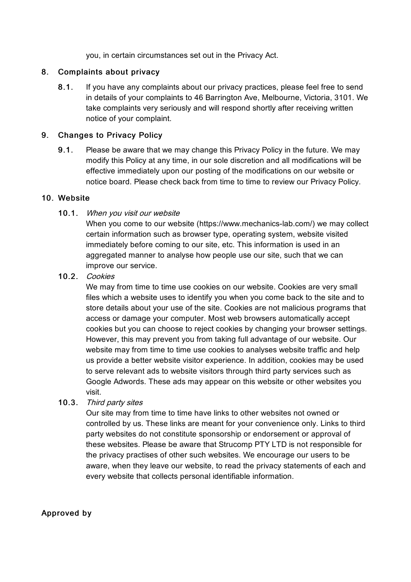you, in certain circumstances set out in the Privacy Act.

### 8. Complaints about privacy

8.1. If you have any complaints about our privacy practices, please feel free to send in details of your complaints to 46 Barrington Ave, Melbourne, Victoria, 3101. We take complaints very seriously and will respond shortly after receiving written notice of your complaint.

### 9. Changes to Privacy Policy

9.1. Please be aware that we may change this Privacy Policy in the future. We may modify this Policy at any time, in our sole discretion and all modifications will be effective immediately upon our posting of the modifications on our website or notice board. Please check back from time to time to review our Privacy Policy.

#### 10. Website

10.1. When you visit our website

When you come to our website (https://www.mechanics-lab.com/) we may collect certain information such as browser type, operating system, website visited immediately before coming to our site, etc. This information is used in an aggregated manner to analyse how people use our site, such that we can improve our service.

10.2. Cookies

We may from time to time use cookies on our website. Cookies are very small files which a website uses to identify you when you come back to the site and to store details about your use of the site. Cookies are not malicious programs that access or damage your computer. Most web browsers automatically accept cookies but you can choose to reject cookies by changing your browser settings. However, this may prevent you from taking full advantage of our website. Our website may from time to time use cookies to analyses website traffic and help us provide a better website visitor experience. In addition, cookies may be used to serve relevant ads to website visitors through third party services such as Google Adwords. These ads may appear on this website or other websites you visit.

10.3. Third party sites

Our site may from time to time have links to other websites not owned or controlled by us. These links are meant for your convenience only. Links to third party websites do not constitute sponsorship or endorsement or approval of these websites. Please be aware that Strucomp PTY LTD is not responsible for the privacy practises of other such websites. We encourage our users to be aware, when they leave our website, to read the privacy statements of each and every website that collects personal identifiable information.

Approved by